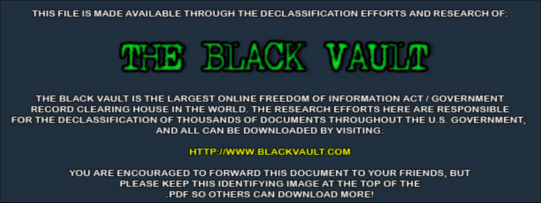THIS FILE IS MADE AVAILABLE THROUGH THE DECLASSIFICATION EFFORTS AND RESEARCH OF:



THE BLACK VAULT IS THE LARGEST ONLINE FREEDOM OF INFORMATION ACT / GOVERNMENT RECORD CLEARING HOUSE IN THE WORLD. THE RESEARCH EFFORTS HERE ARE RESPONSIBLE FOR THE DECLASSIFICATION OF THOUSANDS OF DOCUMENTS THROUGHOUT THE U.S. GOVERNMENT, AND ALL CAN BE DOWNLOADED BY VISITING:

**HTTP://WWW.BLACKVAULT.COM** 

YOU ARE ENCOURAGED TO FORWARD THIS DOCUMENT TO YOUR FRIENDS, BUT PLEASE KEEP THIS IDENTIFYING IMAGE AT THE TOP OF THE PDF SO OTHERS CAN DOWNLOAD MORE!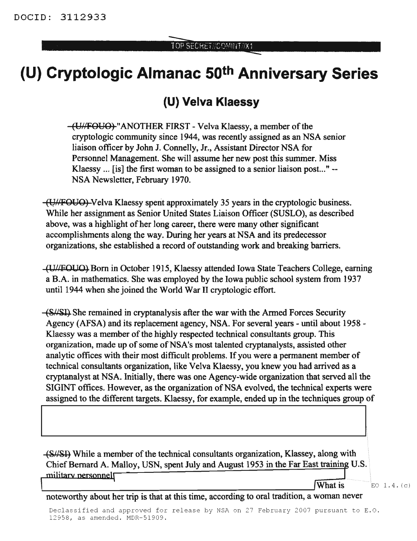## **(U) Cryptologic Almanac 50th Anniversary Series**

## **(U) Velva Klaessy**

(Util FOUO) "ANOTHER FIRST - Velva Klaessy, a member of the cryptologic community since 1944, was recently assigned as an NSA senior liaison officer by John 1. Connelly, Jr., Assistant Director NSA for Personnel Management. She will assume her new post this summer. Miss Klaessy ... [is] the first woman to be assigned to a senior liaison post..." -- NSA Newsletter, February 1970.

({}h'-FOUO) Velva Klaessy sperit approximately 35 years in the cryptologic business. While her assignment as Senior United States Liaison Officer (SUSLO), as described above, was a highlight of her long career, there were many other significant accomplishments along the way. During her years at NSA and its predecessor organizations, she established a record of outstanding work and breaking barriers.

(lliWOUO) Born in October 1915, Klaessy attended Iowa State Teachers College, earning a B.A. in mathematics. She was employed by the Iowa public school system from 1937 until 1944 when she joined the World War II cryptologic effort.

(S/SI) She remained in cryptanalysis after the war with the Armed Forces Security Agency (AFSA) and its replacement agency, NSA. For several years - until about 1958 - Klaessy was a member of the highly respected technical consultants group. This organization, made up of some of NSA's most talented cryptanalysts, assisted other analytic offices with their most difficult problems. If you were a permanent member of technical consultants organization, like Velva Klaessy, you knew you had arrived as a cryptanalyst at NSA. Initially, there was one Agency-wide organization that served all the SIGINT offices. However, as the organization of NSA evolved, the technical experts were assigned to the different targets. Klaessy, for example, ended up in the techniques group of

(S//SI) While a member of the technical consultants organization, Klassey, along with Chief Bernard A. Malloy, USN, spent July and August 1953 in the Far East training U.S. military personnel  $\sqrt{\text{What is}}$  EQ 1.4. (c)

<u>I i svjetski postava i svjetski predsjednika i svjetski predsjednika i svjetski predsjednika i svjetski stanov</u>

## noteworthy about her trip is that at this time, according to oral tradition, a woman never

Declassified and approved for release by NSA on 27 February 2007 pursuant to E.O. 12958, as amended. MDR-51909.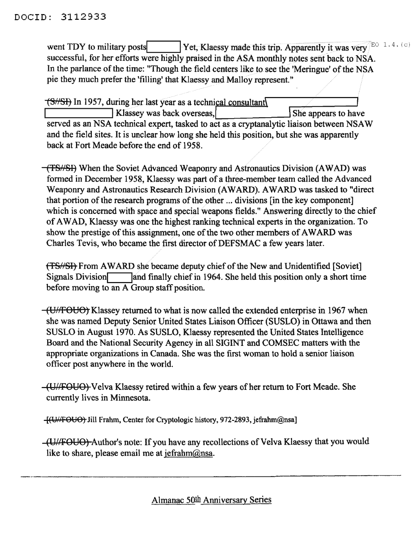went TDY to military posts<br>
Yet, Klaessy made this trip. Apparently it was very EO 1.4. (c) successful, for her efforts were highly praised in the ASA monthly notes sent back to NSA. In the parlance of the time: "Though the field centers like to see the 'Meringue' of the NSA pie they much prefer the 'filling' that Klaessy and Malloy represent."

 $\sqrt{\frac{S}{S}}$  In 1957, during her last year as a technical consultant I Klassey was back overseas, served as an NSA technical expert, tasked to act as a cryptanalytic liaison between NSAW and the field sites. It is unclear how long she held this position, but she was apparently back at Fort Meade before the end of 1958.

(TS/SI) When the Soviet Advanced Weaponry and Astronautics Division (AWAD) was formed in December 1958, Klaessy was part of a three-member team called the Advanced Weaponry and Astronautics Research Division(AWARD). AWARD was tasked to "direct that portion of the research programs of the other ... divisions [in the key component] which is concerned with space and special weapons fields." Answering directly to the chief of AWAD, Klaessy was one the highest ranking technical experts in the organization. To show the prestige of this assignment, one of the two other members of AWARD was Charles Tevis, who became the first director of DEFSMAC a few years later.

(TS//SI) From AWARD she became deputy chief of the New and Unidentified [Soviet] Signals Division and finally chief in 1964. She held this position only a short time before moving to an  $\overline{A}$  Group staff position.

(UHFOUO) Klassey returned to what is now called the extended enterprise in 1967 when she was named Deputy Senior United States Liaison Officer (SUSLO) in Ottawa and then SUSLO in August 1970. As SUSLO, Klaessy represented the United States Intelligence Board and the National Security Agency in all SIGINT and COMSEC matters with the appropriate organizations in Canada. She was the first woman to hold a senior liaison officer post anywhere in the world.

(U/FOUO) Velva Klaessy retired within a few years of her return to Fort Meade. She currently lives in Minnesota.

 $-[$ (U/FOUO) Jill Frahm, Center for Cryptologic history, 972-2893, jefrahm@nsa]

(UI/FOYO) Author's note: If you have any recollections of Velva Klaessy that you would like to share, please email me at jefrahm@nsa.